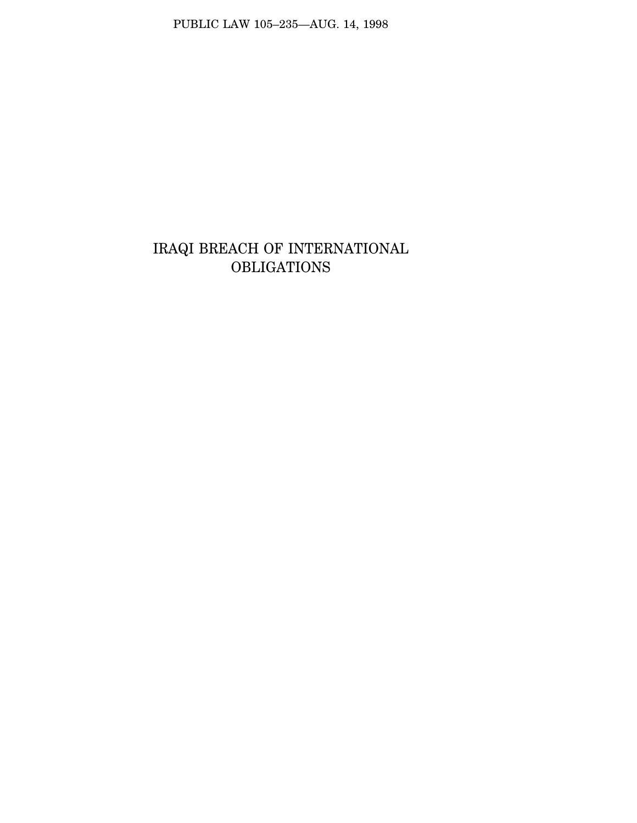PUBLIC LAW 105–235—AUG. 14, 1998

## IRAQI BREACH OF INTERNATIONAL **OBLIGATIONS**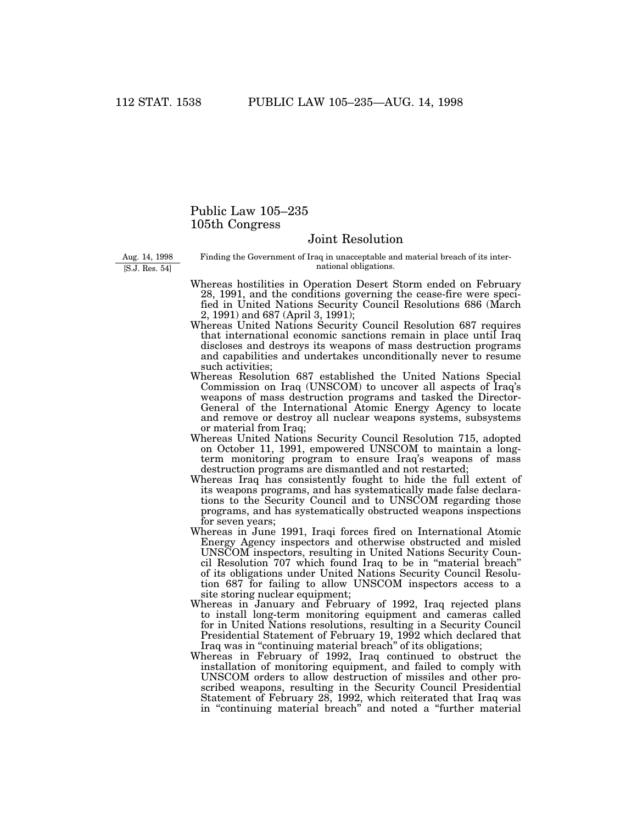## Public Law 105–235 105th Congress

## Joint Resolution

Aug. 14, 1998 [S.J. Res. 54]

Finding the Government of Iraq in unacceptable and material breach of its international obligations.

- Whereas hostilities in Operation Desert Storm ended on February 28, 1991, and the conditions governing the cease-fire were specified in United Nations Security Council Resolutions 686 (March 2, 1991) and 687 (April 3, 1991);
- Whereas United Nations Security Council Resolution 687 requires that international economic sanctions remain in place until Iraq discloses and destroys its weapons of mass destruction programs and capabilities and undertakes unconditionally never to resume such activities;
- Whereas Resolution 687 established the United Nations Special Commission on Iraq (UNSCOM) to uncover all aspects of Iraq's weapons of mass destruction programs and tasked the Director-General of the International Atomic Energy Agency to locate and remove or destroy all nuclear weapons systems, subsystems or material from Iraq;
- Whereas United Nations Security Council Resolution 715, adopted on October 11, 1991, empowered UNSCOM to maintain a longterm monitoring program to ensure Iraq's weapons of mass destruction programs are dismantled and not restarted;
- Whereas Iraq has consistently fought to hide the full extent of its weapons programs, and has systematically made false declarations to the Security Council and to UNSCOM regarding those programs, and has systematically obstructed weapons inspections for seven years;
- Whereas in June 1991, Iraqi forces fired on International Atomic Energy Agency inspectors and otherwise obstructed and misled UNSCOM inspectors, resulting in United Nations Security Council Resolution 707 which found Iraq to be in ''material breach'' of its obligations under United Nations Security Council Resolution 687 for failing to allow UNSCOM inspectors access to a site storing nuclear equipment;
- Whereas in January and February of 1992, Iraq rejected plans to install long-term monitoring equipment and cameras called for in United Nations resolutions, resulting in a Security Council Presidential Statement of February 19, 1992 which declared that Iraq was in "continuing material breach" of its obligations;
- Whereas in February of 1992, Iraq continued to obstruct the installation of monitoring equipment, and failed to comply with UNSCOM orders to allow destruction of missiles and other proscribed weapons, resulting in the Security Council Presidential Statement of February 28, 1992, which reiterated that Iraq was in ''continuing material breach'' and noted a ''further material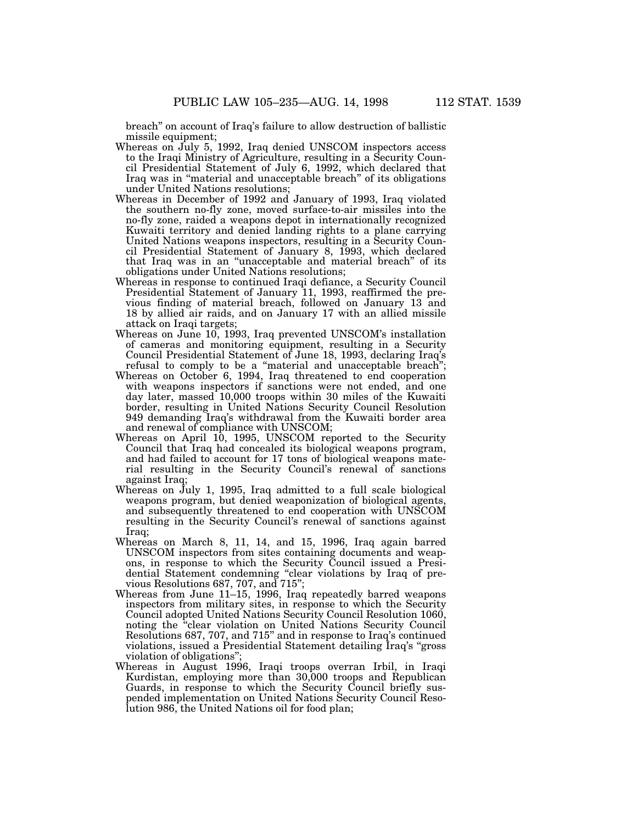breach'' on account of Iraq's failure to allow destruction of ballistic missile equipment;

- Whereas on July 5, 1992, Iraq denied UNSCOM inspectors access to the Iraqi Ministry of Agriculture, resulting in a Security Council Presidential Statement of July 6, 1992, which declared that Iraq was in ''material and unacceptable breach'' of its obligations under United Nations resolutions;
- Whereas in December of 1992 and January of 1993, Iraq violated the southern no-fly zone, moved surface-to-air missiles into the no-fly zone, raided a weapons depot in internationally recognized Kuwaiti territory and denied landing rights to a plane carrying United Nations weapons inspectors, resulting in a Security Council Presidential Statement of January 8, 1993, which declared that Iraq was in an ''unacceptable and material breach'' of its obligations under United Nations resolutions;
- Whereas in response to continued Iraqi defiance, a Security Council Presidential Statement of January 11, 1993, reaffirmed the previous finding of material breach, followed on January 13 and 18 by allied air raids, and on January 17 with an allied missile attack on Iraqi targets;
- Whereas on June 10, 1993, Iraq prevented UNSCOM's installation of cameras and monitoring equipment, resulting in a Security Council Presidential Statement of June 18, 1993, declaring Iraq's refusal to comply to be a "material and unacceptable breach";
- Whereas on October 6, 1994, Iraq threatened to end cooperation with weapons inspectors if sanctions were not ended, and one day later, massed 10,000 troops within 30 miles of the Kuwaiti border, resulting in United Nations Security Council Resolution 949 demanding Iraq's withdrawal from the Kuwaiti border area and renewal of compliance with UNSCOM;
- Whereas on April 10, 1995, UNSCOM reported to the Security Council that Iraq had concealed its biological weapons program, and had failed to account for 17 tons of biological weapons material resulting in the Security Council's renewal of sanctions against Iraq;
- Whereas on July 1, 1995, Iraq admitted to a full scale biological weapons program, but denied weaponization of biological agents, and subsequently threatened to end cooperation with UNSCOM resulting in the Security Council's renewal of sanctions against Iraq;
- Whereas on March 8, 11, 14, and 15, 1996, Iraq again barred UNSCOM inspectors from sites containing documents and weapons, in response to which the Security Council issued a Presidential Statement condemning ''clear violations by Iraq of previous Resolutions 687, 707, and 715'';
- Whereas from June 11–15, 1996, Iraq repeatedly barred weapons inspectors from military sites, in response to which the Security Council adopted United Nations Security Council Resolution 1060, noting the ''clear violation on United Nations Security Council Resolutions 687, 707, and 715'' and in response to Iraq's continued violations, issued a Presidential Statement detailing Iraq's ''gross violation of obligations"
- Whereas in August 1996, Iraqi troops overran Irbil, in Iraqi Kurdistan, employing more than 30,000 troops and Republican Guards, in response to which the Security Council briefly suspended implementation on United Nations Security Council Resolution 986, the United Nations oil for food plan;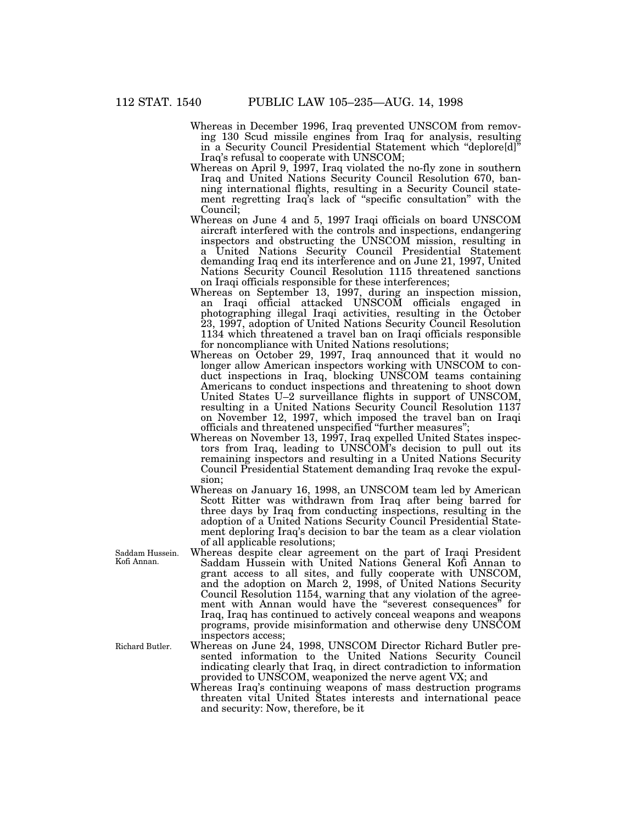Whereas in December 1996, Iraq prevented UNSCOM from removing 130 Scud missile engines from Iraq for analysis, resulting in a Security Council Presidential Statement which "deplore[d] Iraq's refusal to cooperate with UNSCOM;

- Whereas on April 9, 1997, Iraq violated the no-fly zone in southern Iraq and United Nations Security Council Resolution 670, banning international flights, resulting in a Security Council statement regretting Iraq's lack of ''specific consultation'' with the Council;
- Whereas on June 4 and 5, 1997 Iraqi officials on board UNSCOM aircraft interfered with the controls and inspections, endangering inspectors and obstructing the UNSCOM mission, resulting in a United Nations Security Council Presidential Statement demanding Iraq end its interference and on June 21, 1997, United Nations Security Council Resolution 1115 threatened sanctions on Iraqi officials responsible for these interferences;
- Whereas on September 13, 1997, during an inspection mission, an Iraqi official attacked UNSCOM officials engaged in photographing illegal Iraqi activities, resulting in the October 23, 1997, adoption of United Nations Security Council Resolution 1134 which threatened a travel ban on Iraqi officials responsible for noncompliance with United Nations resolutions;
- Whereas on October 29, 1997, Iraq announced that it would no longer allow American inspectors working with UNSCOM to conduct inspections in Iraq, blocking UNSCOM teams containing Americans to conduct inspections and threatening to shoot down United States U–2 surveillance flights in support of UNSCOM, resulting in a United Nations Security Council Resolution 1137 on November 12, 1997, which imposed the travel ban on Iraqi officials and threatened unspecified ''further measures'';
- Whereas on November 13, 1997, Iraq expelled United States inspectors from Iraq, leading to UNSCOM's decision to pull out its remaining inspectors and resulting in a United Nations Security Council Presidential Statement demanding Iraq revoke the expulsion;
- Whereas on January 16, 1998, an UNSCOM team led by American Scott Ritter was withdrawn from Iraq after being barred for three days by Iraq from conducting inspections, resulting in the adoption of a United Nations Security Council Presidential Statement deploring Iraq's decision to bar the team as a clear violation of all applicable resolutions;
- Whereas despite clear agreement on the part of Iraqi President Saddam Hussein with United Nations General Kofi Annan to grant access to all sites, and fully cooperate with UNSCOM, and the adoption on March 2, 1998, of United Nations Security Council Resolution 1154, warning that any violation of the agreement with Annan would have the "severest consequences" for Iraq, Iraq has continued to actively conceal weapons and weapons programs, provide misinformation and otherwise deny UNSCOM inspectors access;
- Whereas on June 24, 1998, UNSCOM Director Richard Butler presented information to the United Nations Security Council indicating clearly that Iraq, in direct contradiction to information provided to UNSCOM, weaponized the nerve agent VX; and
- Whereas Iraq's continuing weapons of mass destruction programs threaten vital United States interests and international peace and security: Now, therefore, be it

Saddam Hussein. Kofi Annan.

Richard Butler.